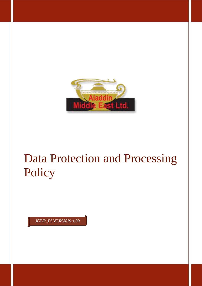

# Data Protection and Processing Policy

IGDP\_P2 VERSION 1.00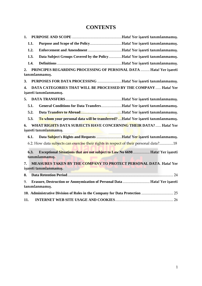# **CONTENTS**

| 1.                                                                                                |                                                                                             |                                                                                                 |  |  |  |
|---------------------------------------------------------------------------------------------------|---------------------------------------------------------------------------------------------|-------------------------------------------------------------------------------------------------|--|--|--|
|                                                                                                   | 1.1.                                                                                        |                                                                                                 |  |  |  |
|                                                                                                   | 1.2.                                                                                        |                                                                                                 |  |  |  |
|                                                                                                   | 1.3.                                                                                        | Data Subject Groups Covered by the PolicyHata! Yer isareti tanımlanmamış.                       |  |  |  |
|                                                                                                   | 1.4.                                                                                        |                                                                                                 |  |  |  |
| 2.                                                                                                |                                                                                             | PRINCIPES REGARDING PROCESSING OF PERSONAL DATA  Hata! Yer işareti<br>tanımlanmamış.            |  |  |  |
| 3.                                                                                                |                                                                                             | PURPOSES FOR DATA PROCESSING Hata! Yer işareti tanımlanmamış.                                   |  |  |  |
| 4.                                                                                                |                                                                                             | DATA CATEGORIES THAT WILL BE PROCESSED BY THE COMPANY  Hata! Yer<br>işareti tanımlanmamış.      |  |  |  |
|                                                                                                   |                                                                                             |                                                                                                 |  |  |  |
|                                                                                                   | 5.1.                                                                                        | General Conditions for Data TransfersHata! Yer işareti tanımlanmamış.                           |  |  |  |
|                                                                                                   | 5.2.                                                                                        |                                                                                                 |  |  |  |
|                                                                                                   | 5.3.                                                                                        | To whom your personal data will be transferred?Hata! Yer isareti tanımlanmamış.                 |  |  |  |
| 6.                                                                                                | WHAT RIGHTS DATA SUBJECTS HAVE CONCERNING THEIR DATA?  Hata! Yer<br>işareti tanımlanmamış.  |                                                                                                 |  |  |  |
|                                                                                                   | 6.1.                                                                                        | Data Subject's Rights and Requests Hata! Yer isareti tanımlanmamış.                             |  |  |  |
|                                                                                                   |                                                                                             | 6.2. How data subjects can exercise their rights in respect of their personal data?18           |  |  |  |
|                                                                                                   | 6.3.                                                                                        | Exceptional Situations that are not subject to Law No 6698  Hata! Yer isareti<br>tanımlanmamış. |  |  |  |
| 7.                                                                                                | MEASURES TAKEN BY THE COMPANY TO PROTECT PERSONAL DATA. Hata! Yer<br>işareti tanımlanmamış. |                                                                                                 |  |  |  |
| 8.                                                                                                | the contract of the contract of the                                                         |                                                                                                 |  |  |  |
| Erasure, Destruction or Anonymization of Personal Data  Hata! Yer işareti<br>9.<br>tanımlanmamış. |                                                                                             |                                                                                                 |  |  |  |
|                                                                                                   |                                                                                             |                                                                                                 |  |  |  |
| 11.                                                                                               |                                                                                             |                                                                                                 |  |  |  |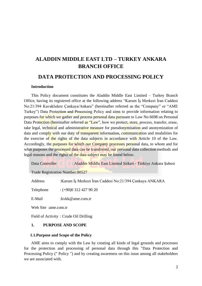# **ALADDIN MIDDLE EAST LTD – TURKEY ANKARA BRANCH OFFICE**

# **DATA PROTECTION AND PROCESSING POLICY**

## **Introduction**

This Policy document constitutes the Aladdin Middle East Limited – Turkey Branch Office, having its registered office at the following address "Karum İş Merkezi İran Caddesi No:21/394 Kavaklıdere Çankaya/Ankara" (hereinafter referred as the "Company" or "AME Turkey") Data Protection and Processing Policy and aims to provide information relating to purposes for which we gather and process personal data pursuant to Law No 6698 on Personal Data Protection (hereinafter referred as "Law", how we protect, store, process, transfer, erase, take legal, technical and administrative measure for pseudonymisation and anonymization of data and comply with our duty of transparent information, communication and modalities for the exercise of the rights of the data subjects in accordance with Article 10 of the Law. Accordingly, the purposes for which our Company processes personal data, to whom and for what purposes the processed data can be transferred, our personal data collection methods and legal reasons and the rights of the data subject may be found below.

Data Controller : Aladdin Middle East Limited Şirketi - Türkiye Ankara Şubesi

Trade Registration Number:80527

Address :Karum İş Merkezi İran Caddesi No:21/394 Çankaya ANKARA

Telephone : (+90)0 312 427 90 20

E-Mail :kvkk@ame.com.tr

Web Site :ame.com.tr

Field of Activity : Crude Oil Drilling

## **1. PURPOSE AND SCOPE**

### **1.1.Purpose and Scope of the Policy**

AME aims to comply with the Law by creating all kinds of legal grounds and processes for the protection and processing of personal data through this "Data Protection and Processing Policy (" Policy ") and by creating awareness on this issue among all stakeholders we are associated with.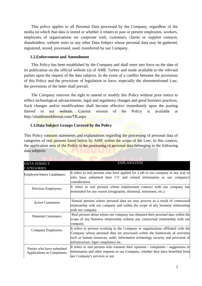This policy applies to all Personal Data processed by the Company, regardless of the media on which that data is stored or whether it relates to past or present employees, workers, employees of organizations we cooperate with, customers, clients or supplier contacts, shareholders, website users or any other Data Subject whose personal data may be gathered, registered, stored, processed, used, transferred by our Company.

## **1.2.Enforcement and Amendment**

This Policy has been established by the Company and shall enter into force on the date of its publication on the official website (s) of AME Turkey and made available to the relevant parties upon the request of the data subjects. In the event of a conflict between the provisions of this Policy and the provisions of legislation in force, especially the aforementioned Law, the provisions of the latter shall prevail.

The Company reserves the right to amend or modify this Policy without prior notice to reflect technological advancements, legal and regulatory changes and good business practices. Such changes and/or modifications shall become effective immediately upon the posting thereof to our website. Current version of the Policy is available at http://aladdinmiddleeast.com/TR.aspx

# **1.3.Data Subject Groups Covered by the Policy**

This Policy contains statements and explanations regarding the processing of personal data of categories of real persons listed below by AME within the scope of the Law. In this context, the application area of the Policy is the processing of personal data belonging to the following data subjects:

| <b>DATA SUBJECT</b><br><b>CATEGORIES</b>                         | <b>EXPLANATION</b>                                                                                                                                                                                       |  |  |
|------------------------------------------------------------------|----------------------------------------------------------------------------------------------------------------------------------------------------------------------------------------------------------|--|--|
| Employee/Intern Candidates:                                      | It refers to real persons who have applied for a job to our company in any way or<br>who have submitted their CV and related information to our company's                                                |  |  |
|                                                                  | consideration.                                                                                                                                                                                           |  |  |
| Previous Employees:                                              | It refers to real persons whose employment contract with our company has<br>terminated for any reason (resignation, dismissal, retirement, etc.).                                                        |  |  |
| <b>Active Customers:</b>                                         | Natural persons whose personal data we may process as a result of contractual<br>relationship with our company and within the scope of any business relationship                                         |  |  |
|                                                                  | with our company.                                                                                                                                                                                        |  |  |
| <b>Potential Customers:</b>                                      | Real persons about whom our company has obtained their personal data within the<br>scope of any business relationship without any contractual relationship with our                                      |  |  |
|                                                                  | company.                                                                                                                                                                                                 |  |  |
| Company Employees:                                               | It refers to persons working in the Company or organizations affiliated with the<br>Company whose personal data are processed within the framework of activities                                         |  |  |
|                                                                  | such as human resources, audit, information technology security and provision of<br>infrastructure, legal compliance etc.                                                                                |  |  |
| Parties who have submitted<br><b>Applications or Complaints:</b> | It refers to real persons who transmit their opinions / complaints / suggestions or<br>information and other requests to our Company, whether they have benefited from<br>our Company's services or not. |  |  |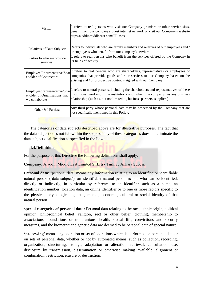| Visitor:                                                                        | It refers to real persons who visit our Company premises or other service sites,<br>benefit from our company's guest internet network or visit our Company's website<br>http://aladdinmiddleeast.com/TR.aspx.                                          |
|---------------------------------------------------------------------------------|--------------------------------------------------------------------------------------------------------------------------------------------------------------------------------------------------------------------------------------------------------|
| <b>Relatives of Data Subject:</b>                                               | Refers to individuals who are family members and relatives of our employees and $/$<br>or employees who benefit from our company's services.                                                                                                           |
| Parties to who we provide<br>services:                                          | It refers to real persons who benefit from the services offered by the Company in<br>its fields of activity.                                                                                                                                           |
| Employee/Representative/Shar<br>eholder of Contractors                          | It refers to real persons who are shareholders, representatives or employees of<br>companies that provide goods and / or services to our Company based on the<br>existing and / or prospective contracts signed with our Company.                      |
| Employee/Representative/Shar<br>eholder of Organizations that<br>we collaborate | It refers to natural persons, including the shareholders and representatives of these<br>institutions, working in the institutions with which the company has any business<br>relationship (such as, but not limited to, business partners, suppliers) |
| Other 3rd Parties:                                                              | Any third party whose personal data may be processed by the Company that are<br>not specifically mentioned in this Policy.                                                                                                                             |

The categories of data subjects described above are for illustrative purposes. The fact that the data subject does not fall within the scope of any of these categories does not eliminate the data subject qualification as specified in the Law.

# **1.4.Definitions**

For the purpose of this Directive the following definitions shall apply:

**Company:** Aladdin Middle East Limited Şirketi - Türkiye Ankara Şubesi,

**Personal data:** 'personal data' means any information relating to an identified or identifiable natural person ('data subject'); an identifiable natural person is one who can be identified, directly or indirectly, in particular by reference to an identifier such as a name, an identification number, location data, an online identifier or to one or more factors specific to the physical, physiological, genetic, mental, economic, cultural or social identity of that natural person

**special categories of personal data:** Personal data relating to the race, ethnic origin, political opinion, philosophical belief, religion, sect or other belief, clothing, membership to associations, foundations or trade-unions, health, sexual life, convictions and security measures, and the biometric and genetic data are deemed to be personal data of special nature

**'processing'** means any operation or set of operations which is performed on personal data or on sets of personal data, whether or not by automated means, such as collection, recording, organization, structuring, storage, adaptation or alteration, retrieval, consultation, use, disclosure by transmission, dissemination or otherwise making available, alignment or combination, restriction, erasure or destruction;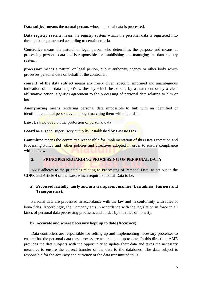**Data subject means** the natural person, whose personal data is processed,

Data registry system means the registry system which the personal data is registered into through being structured according to certain criteria,

**Controller** means the natural or legal person who determines the purpose and means of processing personal data and is responsible for establishing and managing the data registry system,

**processor'** means a natural or legal person, public authority, agency or other body which processes personal data on behalf of the controller;

**consent' of the data subject** means any freely given, specific, informed and unambiguous indication of the data subject's wishes by which he or she, by a statement or by a clear affirmative action, signifies agreement to the processing of personal data relating to him or her

**Anonymizing** means rendering personal data impossible to link with an identified or identifiable natural person, even though matching them with other data,

Law: Law no 6698 on the protection of personal data

**Board** means the 'supervisory authority' established by Law no 6698.

**Committee** means the committee responsible for implementation of this Data Protection and Processing Policy and other policies and directives adopted in order to ensure compliance with the Law.

# **2. PRINCIPES REGARDING PROCESSING OF PERSONAL DATA**

AME adheres to the principles relating to Processing of Personal Data, as set out in the GDPR and Article 4 of the Law, which require Personal Data to be:

# **a) Processed lawfully, fairly and in a transparent manner (Lawfulness, Fairness and Transparency);**

Personal data are processed in accordance with the law and in conformity with rules of bona fides. Accordingly, the Company acts in accordance with the legislation in force in all kinds of personal data processing processes and abides by the rules of honesty.

# **b) Accurate and where necessary kept up to date (Accuracy);**

Data controllers are responsible for setting up and implementing necessary processes to ensure that the personal data they process are accurate and up to date. In this direction, AME provides the data subjects with the opportunity to update their data and takes the necessary measures to ensure the correct transfer of the data to the databases. The data subject is responsible for the accuracy and currency of the data transmitted to us.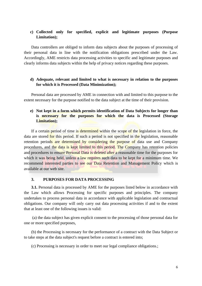# **c) Collected only for specified, explicit and legitimate purposes (Purpose Limitation);**

Data controllers are obliged to inform data subjects about the purposes of processing of their personal data in line with the notification obligations prescribed under the Law. Accordingly, AME restricts data processing activities to specific and legitimate purposes and clearly informs data subjects within the help of privacy notices regarding these purposes.

## **d) Adequate, relevant and limited to what is necessary in relation to the purposes for which it is Processed (Data Minimization);**

Personal data are processed by AME in connection with and limited to this purpose to the extent necessary for the purpose notified to the data subject at the time of their provision.

# **e) Not kept in a form which permits identification of Data Subjects for longer than is necessary for the purposes for which the data is Processed (Storage Limitation);**

If a certain period of time is determined within the scope of the legislation in force, the data are stored for this period. If such a period is not specified in the legislation, reasonable retention periods are determined by considering the purpose of data use and Company procedures, and the data is kept limited to this period. The Company has retention policies and procedures to ensure Personal Data is deleted after a reasonable time for the purposes for which it was being held, unless a law requires such data to be kept for a minimum time. We recommend interested parties to see our Data Retention and Management Policy which is available at our web site.

## **3. PURPOSES FOR DATA PROCESSING**

**3.1.** Personal data is processed by AME for the purposes listed below in accordance with the Law which allows Processing for specific purposes and principles. The company undertakes to process personal data in accordance with applicable legislation and contractual obligations. Our company will only carry out data processing activities if and to the extent that at least one of the following issues is valid:

(a) the data subject has given explicit consent to the processing of those personal data for one or more specified purposes,

(b) the Processing is necessary for the performance of a contract with the Data Subject or to take steps at the data subject's request before a contract is entered into;

(c) Processing is necessary in order to meet our legal compliance obligations.;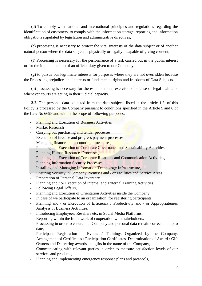(d) To comply with national and international principles and regulations regarding the identification of customers, to comply with the information storage, reporting and information obligations stipulated by legislation and administrative directives,

(e) processing is necessary to protect the vital interests of the data subject or of another natural person where the data subject is physically or legally incapable of giving consent;

(f) Processing is necessary for the performance of a task carried out in the public interest or for the implementation of an official duty given to our Company

(g) to pursue our legitimate interests for purposes where they are not overridden because the Processing prejudices the interests or fundamental rights and freedoms of Data Subjects.

(h) processing is necessary for the establishment, exercise or defense of legal claims or whenever courts are acting in their judicial capacity.

**3.2.** The personal data collected from the data subjects listed in the article 1.3. of this Policy is processed by the Company pursuant to conditions specified in the Article 5 and 6 of the Law No 6698 and within the scope of following purposes:

- Planning and Execution of Business Activities
- Market Research
- Carrying out purchasing and tender processes,
- Execution of invoice and progress payment processes,
- Managing finance and accounting procedures,
- Planning and Execution of Corporate Governance and Sustainability Activities,
- Planning Human Resources Processes,
- Planning and Execution of Corporate Relations and Communication Activities,
- Planning Information Security Processes,
- Installing and Managing Information Technology Infrastructure,
- Ensuring Security in Company Premises and / or Facilities and Service Areas
- Preparation of Personal Data Inventory
- Planning and / or Execution of Internal and External Training Activities,
- Following Legal Affairs,
- Planning and Execution of Orientation Activities inside the Company,
- In case of we participate to an organization, for registering participants,
- Planning and / or Execution of Efficiency / Productivity and / or Appropriateness Analysis of Business Activities,
- Introducing Employees, Resellers etc. in Social Media Platforms,
- Reporting within the framework of cooperation with stakeholders,
- Processing in order to ensure that Company and personal data remain correct and up to date,
- Participant Registration in Events / Trainings Organized by the Company, Arrangement of Certificates / Participation Certificates, Determination of Award / Gift Owners and Delivering awards and gifts in the name of the Company,
- Communicating with relevant parties in order to measure satisfaction levels of our services and products,
- Planning and implementing emergency response plans and protocols,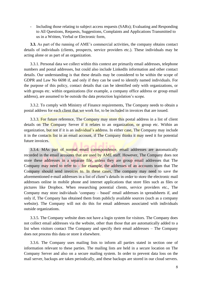- Including those relating to subject access requests (SARs); Evaluating and Responding to All Questions, Requests, Suggestions, Complaints and Applications Transmitted to us in a Written, Verbal or Electronic form,

**3.3.** As part of the running of AME's commercial activities, the company obtains contact details of individuals (clients, prospects, service providers etc.). These individuals may be acting alone or as part of an organization.

3.3.1. Personal data we collect within this context are primarily email addresses, telephone numbers and postal addresses, but could also include LinkedIn information and other contact details. Our understanding is that these details may be considered to be within the scope of GDPR and Law No 6698 if, and only if they can be used to identify named individuals. For the purpose of this policy, contact details that can be identified only with organizations, or with groups etc. within organizations (for example, a company office address or group email address), are assumed to be outside the data protection legislation's scope.

3.3.2. To comply with Ministry of Finance requirements, The Company needs to obtain a postal address for each client that we work for, to be included in invoices that are issued.

3.3.3. For future reference, The Company may store this postal address in a list of client details on The Company Server if it relates to an organization, or group etc. Within an organization, but not if it is an individual's address. In either case, The Company may include it in the contacts list in an email account, if The Company thinks it may need it for potential future invoices.

3.3.4. MAs part of normal email correspondence, email addresses are automatically recorded in the email accounts that are used by AME staff. However, The Company does not store these addresses in a separate file, unless they are group email addresses that The Company may need to refer to  $-$  for example, the addresses of an accounts team that The Company should send invoices to. In these cases, The company may need to save the aforementioned e-mail addresses in a list of client's details in order to store the electronic mail addresses online in mobile phone and internet applications that store files such as files or pictures like Dropbox. When researching potential clients, service providers etc., The Company may store individuals 'company – based' email addresses in spreadsheets if, and only if, The Company has obtained them from publicly available sources (such as a company website). The Company will not do this for email addresses associated with individuals outside organizations.

3.3.5. The Company website does not have a login system for visitors. The Company does not collect email addresses via the website, other than those that are automatically added to a list when visitors contact The Company and specify their email addresses – The Company does not process this data or store it elsewhere.

3.3.6. The Company uses mailing lists to inform all parties stated in section one of information relevant to these parties. The mailing lists are held in a secure location on The Company Server and also on a secure mailing system. In order to prevent data loss on the mail server, backups are taken periodically, and these backups are stored in our cloud servers.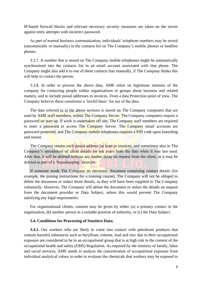IP-based firewall blocks and relevant necessary security measures are taken on the server against entry attempts with incorrect password.

As part of normal business communication, individuals' telephone numbers may be stored (automatically or manually) in the contacts list on The Company's mobile phones or landline phones.

3.3.7. A number that is stored on The Company mobile telephones might be automatically synchronized into the contacts list in an email account associated with that phone. The Company might also add it to one of these contacts lists manually, if The Company thinks this will help to contact the person.

3.3.8. In order to process the above data, AME relies on legitimate interests of the company for contacting people within organizations or groups about business and related matters, and to include postal addresses in invoices. From a data Protection point of view, The Company believes these constitutes a 'lawful basis' for use of the data.

The data referred to in the above sections is stored on The Company computers that are used by AME staff members, within The Company Server. The Company computers require a password on start up. If work is undertaken off site, The Company staff members are required to enter a password to access The Company Server. The Company email accounts are password protected, and The Company mobile telephones requires a PIN code upon launching and restart.

The Company retains each postal address (at least in invoices, and sometimes also in The Company's spreadsheet of client details for ten years from the date when it was last used. After that, it will be deleted without any further delay on request from the client, or it may be deleted as part of a 'housekeeping' exercise.

If someone sends The Company an electronic document containing contact details (for example, the joining instructions for a training course), The Company will not be obliged to delete the document or redact those details, as they will have been supplied to The Company voluntarily. However, The Company will delete the document or redact the details on request from the document provider or Data Subject, unless this would prevent The Company satisfying any legal requirements.

For organizational clients, consent may be given by either (a) a primary contact in the organization, (b) another person in a suitable position of authority, or (c) the Data Subject.

#### **3.4. Conditions for Processing of Sensitive Data;**

**3.4.1.** Our workers who are likely to come into contact with petroleum products that contain harmful substances such as beryllium, toluene, lead and zinc due to their occupational exposure are considered to be in an occupational group that is at high risk in the context of the occupational health and safety (OHS) Regulation. As required by the ministry of family, labor and social services, AME needs to analyze the concentration of occupational exposure from individual analytical values in order to evaluate the chemicals that workers may be exposed to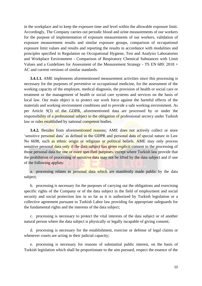in the workplace and to keep the exposure time and level within the allowable exposure limit. Accordingly, The Company carries out periodic blood and urine measurements of our workers for the purpose of implementation of exposure measurements of our workers, validation of exposure measurement results and similar exposure groups, comparison of occupational exposure limit values and results and reporting the results in accordance with modalities and principles specified in Regulation on Occupational Hygiene, Test and Analysis Laboratories and Workplace Environment - Comparison of Respiratory Chemical Substances with Limit Values and a Guidelines for Assessment of the Measurement Strategy - TS EN 689: 2018 + AC and current versions of similar standards.

**3.4.1.1.** AME implements aforementioned measurement activities since this processing is necessary for the purposes of preventive or occupational medicine, for the assessment of the working capacity of the employee, medical diagnosis, the provision of health or social care or treatment or the management of health or social care systems and services on the basis of local law. Our main object is to protect our work force against the harmful effects of the materials and working environment conditions and to provide a safe working environment. As per Article 9(3) of the GDPR, aforementioned data are processed by or under the responsibility of a professional subject to the obligation of professional secrecy under Turkish law or rules established by national competent bodies.

**3.4.2.** Besides from aforementioned reasons; AME does not actively collect or store 'sensitive personal data' as defined in the GDPR and personal data of special nature in Law No 6698, such as ethnic origin or religious or political beliefs. AME may only process sensitive personal data only if the data subject has given explicit consent to the processing of those personal data for one or more specified purposes, except where Turkish law provide that the prohibition of processing of sensitive data may not be lifted by the data subject and if one of the following applies:

a. processing relates to personal data which are manifestly made public by the data subject;

b. processing is necessary for the purposes of carrying out the obligations and exercising specific rights of the Company or of the data subject in the field of employment and social security and social protection law in so far as it is authorized by Turkish legislation or a collective agreement pursuant to Turkish Labor law providing for appropriate safeguards for the fundamental rights and the interests of the data subject;

c. processing is necessary to protect the vital interests of the data subject or of another natural person where the data subject is physically or legally incapable of giving consent;

d. processing is necessary for the establishment, exercise or defense of legal claims or whenever courts are acting in their judicial capacity;

e. processing is necessary for reasons of substantial public interest, on the basis of Turkish legislation which shall be proportionate to the aim pursued, respect the essence of the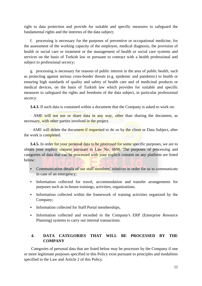right to data protection and provide for suitable and specific measures to safeguard the fundamental rights and the interests of the data subject;

f. processing is necessary for the purposes of preventive or occupational medicine, for the assessment of the working capacity of the employee, medical diagnosis, the provision of health or social care or treatment or the management of health or social care systems and services on the basis of Turkish law or pursuant to contract with a health professional and subject to professional secrecy;

g. processing is necessary for reasons of public interest in the area of public health, such as protecting against serious cross-border threats (e.g. epidemic and pandemic) to health or ensuring high standards of quality and safety of health care and of medicinal products or medical devices, on the basis of Turkish law which provides for suitable and specific measures to safeguard the rights and freedoms of the data subject, in particular professional secrecy.

**3.4.3.** If such data is contained within a document that the Company is asked to work on:

· AME will not use or share data in any way, other than sharing the document, as necessary, with other parties involved in the project.

· AME will delete the document if requested to do so by the client or Data Subject, after the work is completed.

**3.4.5.** In order for your personal data to be processed for some specific purposes, we are to obtain your explicit consent pursuant to Law No. 6698. The purposes of processing and categories of data that can be processed with your explicit consent on any platform are listed below:

- **EXECOMMUNICATE COMMUNICATE:** Communicate in order for us to communicate in case of an emergency;
- Information collected for travel, accommodation and transfer arrangements for purposes such as in-house trainings, activities, organizations.
- Information collected within the framework of training activities organized by the Company;
- Information collected for Staff Portal memberships,
- Information collected and recorded in the Company's ERP (Enterprise Resource Planning) systems to carry out internal transactions.

# **4. DATA CATEGORIES THAT WILL BE PROCESSED BY THE COMPANY**

Categories of personal data that are listed below may be processes by the Company if one or more legitimate purposes specified in this Policy exist pursuant to principles and modalities specified in the Law and Article 2 of this Policy.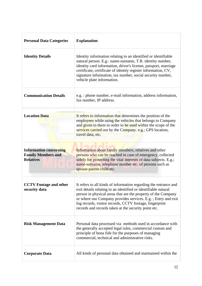| <b>Personal Data Categories</b>                                                | <b>Explanation</b>                                                                                                                                                                                                                                                                                                                                                                     |
|--------------------------------------------------------------------------------|----------------------------------------------------------------------------------------------------------------------------------------------------------------------------------------------------------------------------------------------------------------------------------------------------------------------------------------------------------------------------------------|
| <b>Identity Details</b>                                                        | Identity information relating to an identified or identifiable<br>natural person. E.g.: name-surname, T.R. identity number,<br>identity card information, driver's license, passport, marriage<br>certificate, certificate of identity register information, CV,<br>signature information, tax number, social security number,<br>vehicle plate information.                           |
| <b>Communication Details</b>                                                   | e.g.: phone number, e-mail information, address information,<br>fax number, IP address.                                                                                                                                                                                                                                                                                                |
| <b>Location Data</b>                                                           | It refers to information that determines the position of the<br>employees while using the vehicles that belongs to Company<br>and given to them in order to be used within the scope of the<br>services carried out by the Company. e.g.; GPS location,<br>travel data, etc.                                                                                                           |
| <b>Information concerning</b><br><b>Family Members and</b><br><b>Relatives</b> | Information about family members, relatives and other<br>persons who can be reached in case of emergency, collected<br>solely for protecting the vital interests of data subjects. E.g.;<br>name-surname, telephone number etc. of persons such as<br>spouse-parent-child etc.                                                                                                         |
| <b>CCTV</b> Footage and other<br>security data                                 | It refers to all kinds of information regarding the entrance and<br>exit details relating to an identified or identifiable natural<br>person in physical areas that are the property of the Company<br>or where our Company provides services. E.g.; Entry and exit<br>log records, visitor records, CCTV footage, fingerprint<br>records and records taken at the security point etc. |
| <b>Risk Management Data</b>                                                    | Personal data processed via methods used in accordance with<br>the generally accepted legal rules, commercial custom and<br>principle of bona fide for the purposes of managing<br>commercial, technical and administrative risks.                                                                                                                                                     |
| <b>Corporate Data</b>                                                          | All kinds of personal data obtained and maintained within the                                                                                                                                                                                                                                                                                                                          |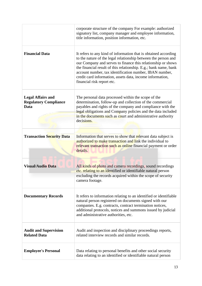|                                                                  | corporate structure of the company For example: authorized<br>signatory list, company manager and employee information,<br>title information, position information, etc.                                                                                                                                                                                                                                                    |
|------------------------------------------------------------------|-----------------------------------------------------------------------------------------------------------------------------------------------------------------------------------------------------------------------------------------------------------------------------------------------------------------------------------------------------------------------------------------------------------------------------|
| <b>Financial Data</b>                                            | It refers to any kind of information that is obtained according<br>to the nature of the legal relationship between the person and<br>our Company and serves to finance this relationship or shows<br>the financial result of this relationship. E.g.; bank name, bank<br>account number, tax identification number, IBAN number,<br>credit card information, assets data, income information,<br>financial risk report etc. |
| <b>Legal Affairs and</b><br><b>Regulatory Compliance</b><br>Data | The personal data processed within the scope of the<br>determination, follow-up and collection of the commercial<br>payables and rights of the company and compliance with the<br>legal obligations and Company policies and the data included<br>in the documents such as court and administrative authority<br>decisions.                                                                                                 |
| <b>Transaction Security Data</b>                                 | Information that serves to show that relevant data subject is<br>authorized to make transaction and link the individual to<br>relevant transaction such as online financial payment or order<br>details.                                                                                                                                                                                                                    |
| <b>Visual/Audio Data</b>                                         | All kinds of photo and camera recordings, sound recordings<br>etc. relating to an identified or identifiable natural person<br>excluding the records acquired within the scope of security<br>camera footage.                                                                                                                                                                                                               |
| <b>Documentary Records</b>                                       | It refers to information relating to an identified or identifiable<br>natural person registered on documents signed with our<br>companies. E.g. contracts, contract termination notices,<br>additional protocols, notices and summons issued by judicial<br>and administrative authorities, etc.                                                                                                                            |
| <b>Audit and Supervision</b><br><b>Related Data</b>              | Audit and inspection and disciplinary proceedings reports,<br>related interview records and similar records.                                                                                                                                                                                                                                                                                                                |
| <b>Employee's Personal</b>                                       | Data relating to personal benefits and other social security<br>data relating to an identified or identifiable natural person                                                                                                                                                                                                                                                                                               |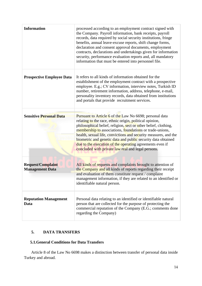| <b>Information</b>                                 | processed according to an employment contract signed with<br>the Company. Payroll information, bank receipts, payroll<br>records, data required by social security institutions, fringe<br>benefits, annual leave-excuse reports, shift change forms,<br>declaration and consent approval documents, employment<br>contracts, declarations and undertakings given for information<br>security, performance evaluation reports and, all mandatory<br>information that must be entered into personnel file. |
|----------------------------------------------------|-----------------------------------------------------------------------------------------------------------------------------------------------------------------------------------------------------------------------------------------------------------------------------------------------------------------------------------------------------------------------------------------------------------------------------------------------------------------------------------------------------------|
| <b>Prospective Employee Data</b>                   | It refers to all kinds of information obtained for the<br>establishment of the employment contract with a prospective<br>employee. E.g.; CV information, interview notes, Turkish ID<br>number, retirement information, address, telephone, e-mail,<br>personality inventory records, data obtained from institutions<br>and portals that provide recruitment services.                                                                                                                                   |
| <b>Sensitive Personal Data</b>                     | Pursuant to Article 6 of the Law No 6698; personal data<br>relating to the race, ethnic origin, political opinion,<br>philosophical belief, religion, sect or other belief, clothing,<br>membership to associations, foundations or trade-unions,<br>health, sexual life, convictions and security measures, and the<br>biometric and genetic data and public security data obtained<br>due to the execution of the operating agreements even if<br>concluded with private law real and legal persons.    |
| <b>Request/Complaint</b><br><b>Management Data</b> | All kinds of requests and complaints brought to attention of<br>the Company and all kinds of reports regarding their receipt<br>and evaluation of them constitute request / complaint<br>management information, if they are related to an identified or<br>identifiable natural person.                                                                                                                                                                                                                  |
| <b>Reputation Management</b><br>Data               | Personal data relating to an identified or identifiable natural<br>person that are collected for the purpose of protecting the<br>commercial reputation of the Company (E.G.; comments done<br>regarding the Company)                                                                                                                                                                                                                                                                                     |

# **5. DATA TRANSFERS**

# **5.1.General Conditions for Data Transfers**

Article 8 of the Law No 6698 makes a distinction between transfer of personal data inside Turkey and abroad.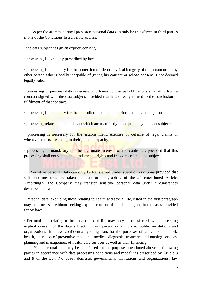As per the aforementioned provision personal data can only be transferred to third parties if one of the Conditions listed below applies:

· the data subject has given explicit consent,

· processing is explicitly prescribed by law,

· processing is mandatory for the protection of life or physical integrity of the person or of any other person who is bodily incapable of giving his consent or whose consent is not deemed legally valid.

· processing of personal data is necessary to honor contractual obligations emanating from a contract signed with the data subject, provided that it is directly related to the conclusion or fulfilment of that contract.

· processing is mandatory for the controller to be able to perform his legal obligations,

· processing relates to personal data which are manifestly made public by the data subject;

· processing is necessary for the establishment, exercise or defense of legal claims or whenever courts are acting in their judicial capacity,

· processing is mandatory for the legitimate interests of the controller, provided that this processing shall not violate the fundamental rights and freedoms of the data subject,

Sensitive personal data can only be transferred under specific Conditions provided that sufficient measures are taken pursuant to paragraph 2 of the aforementioned Article. Accordingly, the Company may transfer sensitive personal data under circumstances described below:

· Personal data, excluding those relating to health and sexual life, listed in the first paragraph may be processed without seeking explicit consent of the data subject, in the cases provided for by laws,

· Personal data relating to health and sexual life may only be transferred, without seeking explicit consent of the data subject, by any person or authorized public institutions and organizations that have confidentiality obligation, for the purposes of protection of public health, operation of preventive medicine, medical diagnosis, treatment and nursing services, planning and management of health-care services as well as their financing.

Your personal data may be transferred for the purposes mentioned above to following parties in accordance with data processing conditions and modalities prescribed by Article 8 and 9 of the Law No 6698: domestic governmental institutions and organizations, law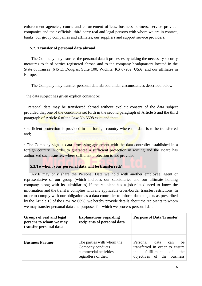enforcement agencies, courts and enforcement offices, business partners, service provider companies and their officials, third party real and legal persons with whom we are in contact, banks, our group companies and affiliates, our suppliers and support service providers.

# **5.2. Transfer of personal data abroad**

The Company may transfer the personal data it processes by taking the necessary security measures to third parties registered abroad and to the company headquarters located in the State of Kansas (645 E. Douglas, Suite 100, Wichita, KS 67202, USA) and our affiliates in Europe.

The Company may transfer personal data abroad under circumstances described below:

· the data subject has given explicit consent or;

· Personal data may be transferred abroad without explicit consent of the data subject provided that one of the conditions set forth in the second paragraph of Article 5 and the third paragraph of Article 6 of the Law No 6698 exist and that;

· sufficient protection is provided in the foreign country where the data is to be transferred and;

· The Company signs a data processing agreement with the data controller established in a foreign country in order to guarantee a sufficient protection in writing and the Board has authorized such transfer, where sufficient protection is not provided.

# **5.3.To whom your personal data will be transferred?**

AME may only share the Personal Data we hold with another employee, agent or representative of our group (which includes our subsidiaries and our ultimate holding company along with its subsidiaries) if the recipient has a job-related need to know the information and the transfer complies with any applicable cross-border transfer restrictions. In order to comply with our obligation as a data controller to inform data subjects as prescribed by the Article 10 of the Law No 6698, we hereby provide details about the recipients to whom we may transfer personal data and purposes for which we process personal data:

| Groups of real and legal<br>persons to whom we may<br>transfer personal data | <b>Explanations regarding</b><br>recipients of personal data                                   | <b>Purpose of Data Transfer</b>                                                                                                             |
|------------------------------------------------------------------------------|------------------------------------------------------------------------------------------------|---------------------------------------------------------------------------------------------------------------------------------------------|
| <b>Business Partner</b>                                                      | The parties with whom the<br>Company conducts<br>commercial activities,<br>regardless of their | Personal<br>data<br><sub>be</sub><br>can<br>transferred in order to ensure<br>fulfillment of<br>the<br>the<br>objectives of the<br>business |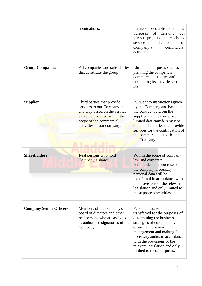|                                | nominations.                                                                                                                                                                     | partnership established for the<br>of<br>purposes<br>carrying<br>out<br>various projects and receiving<br>services in<br>the<br>course<br>of<br>Company's<br>commercial<br>activities.                                                                                                                |
|--------------------------------|----------------------------------------------------------------------------------------------------------------------------------------------------------------------------------|-------------------------------------------------------------------------------------------------------------------------------------------------------------------------------------------------------------------------------------------------------------------------------------------------------|
| <b>Group Companies</b>         | All companies and subsidiaries<br>that constitute the group                                                                                                                      | Limited to purposes such as<br>planning the company's<br>commercial activities and<br>continuing its activities and<br>audit                                                                                                                                                                          |
| <b>Supplier</b>                | Third parties that provide<br>services to our Company in<br>any way based on the service<br>agreement signed within the<br>scope of the commercial<br>activities of our company. | Pursuant to instructions given<br>by the Company and based on<br>the contract between the<br>supplier and the Company,<br>limited data transfers may be<br>done to the parties that provide<br>services for the continuation of<br>the commercial activities of<br>the Company.                       |
| <b>Shareholders</b>            | Real persons who hold<br>Company's shares                                                                                                                                        | Within the scope of company<br>law and corporate<br>communication processes of<br>the company, necessary<br>personal data will be<br>transferred in accordance with<br>the provisions of the relevant<br>legislation and only limited to<br>these process activities.                                 |
| <b>Company Senior Officers</b> | Members of the company's<br>board of directors and other<br>real persons who are assigned<br>as authorized signatories of the<br>Company.                                        | Personal data will be<br>transferred for the purposes of<br>determining the business<br>strategies of our company,<br>ensuring the senior<br>management and making the<br>necessary audits in accordance<br>with the provisions of the<br>relevant legislation and only<br>limited to these purposes. |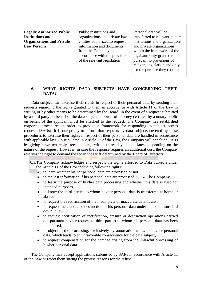| <b>Legally Authorized Public</b><br><b>Institutions and</b><br><b>Organizations and Private</b><br><b>Law Persons</b> | Public institutions and<br>organizations and private law<br>entities authorized to request<br>information and documents<br>from the Company in<br>accordance with the provisions<br>of the relevant legislation | Personal data will be<br>transferred to relevant public<br>institutions and organizations<br>and private organizations<br>within the framework of the<br>legal authority granted to them<br>pursuant to provisions of<br>relevant legislation and only<br>for the purpose they require. |
|-----------------------------------------------------------------------------------------------------------------------|-----------------------------------------------------------------------------------------------------------------------------------------------------------------------------------------------------------------|-----------------------------------------------------------------------------------------------------------------------------------------------------------------------------------------------------------------------------------------------------------------------------------------|
|-----------------------------------------------------------------------------------------------------------------------|-----------------------------------------------------------------------------------------------------------------------------------------------------------------------------------------------------------------|-----------------------------------------------------------------------------------------------------------------------------------------------------------------------------------------------------------------------------------------------------------------------------------------|

# **6. WHAT RIGHTS DATA SUBJECTS HAVE CONCERNING THEIR DATA?**

Data subjects can exercise their rights in respect of their personal data by sending their requests regarding the rights granted to them in accordance with Article 11 of the Law in writing or by other means to be determined by the Board. In the event of a request submitted by a third party on behalf of the data subject, a power of attorney certified by a notary public on behalf of the applicant must be attached to the request. The Company has established corporate procedures in order to provide a framework for responding to subject access requests (SARs). It is our policy to ensure that requests by data subjects covered by these procedures to exercise their rights in respect of their personal data are handled in accordance with applicable law. As stipulated in Article 13 of the Law, the Company will conclude SARs by giving a written reply free of charge within thirty days at the latest, depending on the nature of the request. However, in case the response requires an additional cost, the Company reserves the right to demand the fee in the tariff determined by the Board of Directors.

6.1.The Company acknowledges and respects the rights afforded to Data Subjects under the Article 11 of the Law including following rights:

- to learn whether his/her personal data are processed or not,
- to request information if his personal data are processed by the The Company,
- to learn the purpose of his/her data processing and whether this data is used for intended purposes,
- to know the third parties to whom his/her personal data is transferred at home or abroad,
- to request the rectification of the incomplete or inaccurate data, if any,
- to request the erasure or destruction of his personal data under the conditions laid down in law,
- to request notification of rectification, erasure or destruction operations carried out pursuant his/her request to third parties to whom his personal data has been transferred,
- to object to the processing, exclusively by automatic means, of his/her personal data, which leads to an unfavorable consequence for the data subject,
- to request compensation for the damage arising from the unlawful processing of his/her personal data.

The Company may accept applications submitted by SARs in accordance with Article 11 of the Law or reject them stating the precise reasons for the refusal.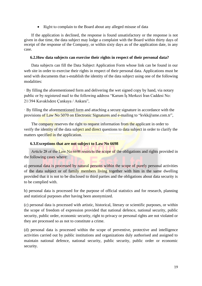• Right to complain to the Board about any alleged misuse of data

If the application is declined, the response is found unsatisfactory or the response is not given in due time, the data subject may lodge a complaint with the Board within thirty days of receipt of the response of the Company, or within sixty days as of the application date, in any case.

## **6.2.How data subjects can exercise their rights in respect of their personal data?**

Data subjects can fill the Data Subject Application Form whose link can be found in our web site in order to exercise their rights in respect of their personal data. Applications must be send with documents that s-establish the identity of the data subject using one of the following modalities:

· By filling the aforementioned form and delivering the wet signed copy by hand, via notary public or by registered mail to the following address "Karum İş Merkezi İran Caddesi No: 21/394 Kavaklıdere Çankaya / Ankara",

· By filling the aforementioned form and attaching a secure signature in accordance with the provisions of Law No 5070 on Electronic Signatures and e-mailing to "kvkk@ame.com.tr",

The company reserves the right to request information from the applicant in order to verify the identity of the data subject and direct questions to data subject in order to clarify the matters specified in the application.

## **6.3.Exceptions that are not subject to Law No 6698**

Article 28 of the Law No 6698 restricts the scope of the obligations and rights provided in the following cases where:

a) personal data is processed by natural persons within the scope of purely personal activities of the data subject or of family members living together with him in the same dwelling provided that it is not to be disclosed to third parties and the obligations about data security is to be complied with.

b) personal data is processed for the purpose of official statistics and for research, planning and statistical purposes after having been anonymized.

(c) personal data is processed with artistic, historical, literary or scientific purposes, or within the scope of freedom of expression provided that national defence, national security, public security, public order, economic security, right to privacy or personal rights are not violated or they are processed so as not to constitute a crime.

(d) personal data is processed within the scope of preventive, protective and intelligence activities carried out by public institutions and organizations duly authorised and assigned to maintain national defence, national security, public security, public order or economic security.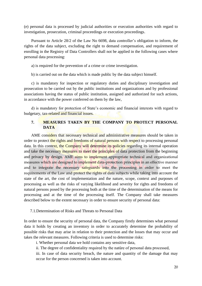(e) personal data is processed by judicial authorities or execution authorities with regard to investigation, prosecution, criminal proceedings or execution proceedings.

Pursuant to Article 28/2 of the Law No 6698, data controller's obligation to inform, the rights of the data subject, excluding the right to demand compensation, and requirement of enrolling in the Registry of Data Controllers shall not be applied in the following cases where personal data processing:

a) is required for the prevention of a crime or crime investigation.

b) is carried out on the data which is made public by the data subject himself.

c) is mandatory for inspection or regulatory duties and disciplinary investigation and prosecution to be carried out by the public institutions and organizations and by professional associations having the status of public institution, assigned and authorized for such actions, in accordance with the power conferred on them by the law,

d) is mandatory for protection of State's economic and financial interests with regard to budgetary, tax-related and financial issues.

## **7. MEASURES TAKEN BY THE COMPANY TO PROTECT PERSONAL DATA**

AME considers that necessary technical and administrative measures should be taken in order to protect the rights and freedoms of natural persons with respect to processing personal data. In this context, the Company will determine its policies regarding its internal operation and take the necessary measures to meet the principles of data protection from the beginning and privacy by design. AME aims to implement appropriate technical and organizational measures which are designed to implement data-protection principles in an effective manner and to integrate the necessary safeguards into the processing in order to meet the requirements of the Law and protect the rights of data subjects while taking into account the state of the art, the cost of implementation and the nature, scope, context and purposes of processing as well as the risks of varying likelihood and severity for rights and freedoms of natural persons posed by the processing both at the time of the determination of the means for processing and at the time of the processing itself. The Company shall take measures described below to the extent necessary in order to ensure security of personal data:

## 7.1.Determination of Risks and Threats to Personal Data

In order to ensure the security of personal data, the Company firstly determines what personal data it holds by creating an inventory in order to accurately determine the probability of possible risks that may arise in relation to their protection and the losses that may occur and takes the relevant measures. Following criteria is used to determine risks:

i. Whether personal data we hold contains any sensitive data,

ii. The degree of confidentiality required by the natüre of personal data processed,

iii. In case of data security breach, the nature and quantity of the damage that may occur for the person concerned is taken into account.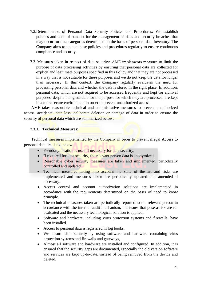- 7.2.Determination of Personal Data Security Policies and Procedures: We establish policies and code of conduct for the management of risks and security breaches that may occur for data categories determined on the basis of personal data inventory. The Company aims to update these policies and procedures regularly to ensure continuous compliance and security.
- 7.3. Measures taken in respect of data security: AME implements measure to limit the purpose of data processing activities by ensuring that personal data are collected for explicit and legitimate purposes specified in this Policy and that they are not processed in a way that is not suitable for these purposes and we do not keep the data for longer than necessary. In this context, the Company regularly evaluates the need for processing personal data and whether the data is stored in the right place. In addition, personal data, which are not required to be accessed frequently and kept for archival purposes, despite being suitable for the purpose for which they are processed, are kept in a more secure environment in order to prevent unauthorized access.

AME takes reasonable technical and administrative measures to prevent unauthorized access, accidental data loss, deliberate deletion or damage of data in order to ensure the security of personal data which are summarized below:

## **7.3.1. Technical Measures:**

Technical measures implemented by the Company in order to prevent illegal Access to personal data are listed below:

- Pseudonymisation is used if necessary for data security,
- If required for data security, the relevant person data is anonymized,
- Reasonable cyber security measures are taken and implemented, periodically controlled and updated.
- Technical measures taking into account the state of the art and risks are implemented and measures taken are periodically updated and amended if necessary.
- Access control and account authorization solutions are implemented in accordance with the requirements determined on the basis of need to know principle.
- The technical measures taken are periodically reported to the relevant person in accordance with the internal audit mechanism, the issues that pose a risk are reevaluated and the necessary technological solution is applied.
- Software and hardware, including virus protection systems and firewalls, have been installed.
- Access to personal data is registered in log books.
- We ensure data security by using software and hardware containing virus protection systems and firewalls and gateways,
- Almost all software and hardware are installed and configured. In addition, it is ensured that the security gaps are documented, especially the old version software and services are kept up-to-date, instead of being removed from the device and deleted.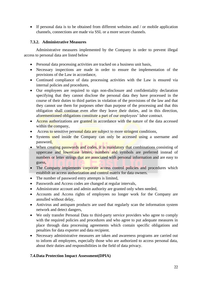• If personal data is to be obtained from different websites and / or mobile application channels, connections are made via SSL or a more secure channels.

# **7.3.2. Administrative Measures**

Administrative measures implemented by the Company in order to prevent illegal access to personal data are listed below

- Personal data processing activities are tracked on a business unit basis,
- Necessary inspections are made in order to ensure the implementation of the provisions of the Law in accordance,
- Continued compliance of data processing activities with the Law is ensured via internal policies and procedures,
- Our employees are required to sign non-disclosure and confidentiality declaration specifying that they cannot disclose the personal data they have processed in the course of their duties to third parties in violation of the provisions of the law and that they cannot use them for purposes other than purpose of the processing and that this obligation shall continue even after they leave their duties, and in this direction, aforementioned obligations constitute a part of our employees' labor contract.
- Access authorizations are granted in accordance with the nature of the data accessed within the company,
- Access to sensitive personal data are subject to more stringent conditions,
- Systems used inside the Company can only be accessed using a username and password,
- When creating passwords and codes, it is mandatory that combinations consisting of uppercase and lowercase letters, numbers and symbols are preferred instead of numbers or letter strings that are associated with personal information and are easy to guess,
- The Company implements corporate access control policies and procedures which establish an access authorization and control matrix for data owners.
- The number of password entry attempts is limited,
- Passwords and Access codes are changed at regular intervals,
- Administrator account and admin authority are granted only when needed,
- Accounts and Access rights of employees no longer work for the Company are annulled without delay,
- Antivirus and antispam products are used that regularly scan the information system network and detect dangers,
- We only transfer Personal Data to third-party service providers who agree to comply with the required policies and procedures and who agree to put adequate measures in place through data processing agreements which contain specific obligations and penalties for data exporter and data recipient.
- Necessary administrative measures are taken and awareness programs are carried out to inform all employees, especially those who are authorized to access personal data, about their duties and responsibilities in the field of data privacy.

# **7.4.Data Protection Impact Assessment(DPIA)**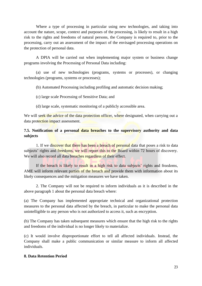Where a type of processing in particular using new technologies, and taking into account the nature, scope, context and purposes of the processing, is likely to result in a high risk to the rights and freedoms of natural persons, the Company is required to, prior to the processing, carry out an assessment of the impact of the envisaged processing operations on the protection of personal data.

A DPIA will be carried out when implementing major system or business change programs involving the Processing of Personal Data including:

(a) use of new technologies (programs, systems or processes), or changing technologies (programs, systems or processes);

(b) Automated Processing including profiling and automatic decision making;

(c) large scale Processing of Sensitive Data; and

(d) large scale, systematic monitoring of a publicly accessible area.

We will seek the advice of the data protection officer, where designated, when carrying out a data protection impact assessment.

# **7.5. Notification of a personal data breaches to the supervisory authority and data subjects**

1. If we discover that there has been a breach of personal data that poses a risk to data subjects' rights and freedoms, we will report this to the Board within 72 hours of discovery. We will also record all data breaches regardless of their effect.

If the breach is likely to result in a high risk to data subjects' rights and freedoms, AME will inform relevant parties of the breach and provide them with information about its likely consequences and the mitigation measures we have taken.

2. The Company will not be required to inform individuals as it is described in the above paragraph 1 about the personal data breach where:

(a) The Company has implemented appropriate technical and organizational protection measures to the personal data affected by the breach, in particular to make the personal data unintelligible to any person who is not authorized to access it, such as encryption.

(b) The Company has taken subsequent measures which ensure that the high risk to the rights and freedoms of the individual is no longer likely to materialize.

(c) It would involve disproportionate effort to tell all affected individuals. Instead, the Company shall make a public communication or similar measure to inform all affected individuals.

## **8. Data Retention Period**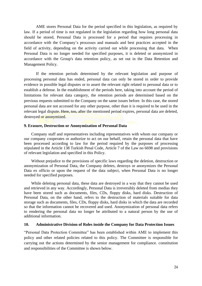AME stores Personal Data for the period specified in this legislation, as required by law. If a period of time is not regulated in the legislation regarding how long personal data should be stored, Personal Data is processed for a period that requires processing in accordance with the Company's processes and manuals and best practices accepted in the field of activity, depending on the activity carried out while processing that data. When Personal Data is no longer needed for specified purposes, it is deleted or anonymized in accordance with the Group's data retention policy, as set out in the Data Retention and Management Policy.

If the retention periods determined by the relevant legislation and purpose of processing personal data has ended, personal data can only be stored in order to provide evidence in possible legal disputes or to assert the relevant right related to personal data or to establish a defense. In the establishment of the periods here, taking into account the period of limitations for relevant data category, the retention periods are determined based on the previous requests submitted to the Company on the same issues before. In this case, the stored personal data are not accessed for any other purpose, other than it is required to be used in the relevant legal dispute. Here, too, after the mentioned period expires, personal data are deleted, destroyed or anonymized.

### <span id="page-24-0"></span>**9. Erasure, Destruction or Anonymization of Personal Data**

Company staff and representatives including representatives with whom our company or our company cooperates or authorize to act on our behalf, retain the personal data that have been processed according to law for the period required by the purposes of processing stipulated in the Article 138 Turkish Penal Code, Article 7 of the Law no 6698 and provisions of relevant legislation and specified in this Policy.

Without prejudice to the provisions of specific laws regarding the deletion, destruction or anonymization of Personal Data, the Company deletes, destroys or anonymizes the Personal Data ex officio or upon the request of the data subject, when Personal Data is no longer needed for specified purposes.

While deleting personal data, these data are destroyed in a way that they cannot be used and retrieved in any way. Accordingly, Personal Data is irreversibly deleted from medias they have been stored such as documents, files, CDs, floppy disks, hard disks. Destruction of Personal Data, on the other hand, refers to the destruction of materials suitable for data storage such as documents, files, CDs, floppy disks, hard disks in which the data are recorded so that the information cannot be recovered and used. Anonymization of personal data refers to rendering the personal data no longer be attributed to a natural person by the use of additional information.

### **10. Administrative Division of Roles inside the Company for Data Protection Issues**

"Personal Data Protection Committee" has been established within AME to implement this policy and other related policies related to this policy. The Committee is responsible for carrying out the actions determined by the senior management for compliance. constitution and responsibilities of the Committee is shown below.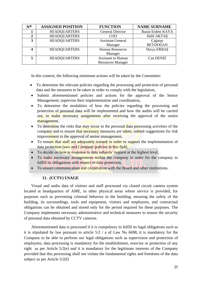| N0 | <b>ASSIGNED POSITION</b> | <b>FUNCTION</b>           | <b>NAME SURNAME</b> |
|----|--------------------------|---------------------------|---------------------|
|    | <b>HEADQUARTERS</b>      | <b>General Director</b>   | Baran Erdem KAYA    |
| 2  | <b>HEADQUARTERS</b>      | <b>COO</b>                | Halil AKTAS         |
| 3  | <b>HEADQUARTERS</b>      | <b>Assistant General</b>  | Çağatay             |
|    |                          | Manager                   | <b>BEYDOĞAN</b>     |
| 4  | <b>HEADQUARTERS</b>      | <b>Human Resources</b>    | Derya ERBAŞ         |
|    |                          | Manager                   |                     |
| 5  | <b>HEADQUARTERS</b>      | <b>Assistant to Human</b> | Can DENIZ           |
|    |                          | <b>Resources Manager</b>  |                     |

In this context, the following minimum actions will be taken by the Committee:

- To determine the relevant policies regarding the processing and protection of personal data and the measures to be taken in order to comply with the legislation,
- Submit aforementioned policies and actions for the approval of the Senior Management; supervise their implementation and coordination,
- To determine the modalities of how the policies regarding the processing and protection of personal data will be implemented and how the audits will be carried out, to make necessary assignments after receiving the approval of the senior management,
- To determine the risks that may occur in the personal data processing activities of the company and to ensure that necessary measures are taken; submit suggestions for risk improvement to the approval of senior management,
- To ensure that staff are adequately trained in order to support the implementation of data protection laws and Company policies in this field,
- To decide on how to response to data subjects' request at the highest level,
- To make necessary arrangements within the company in order for the company to fulfill its obligations with respect to data protection,
- To ensure communication and cooperation with the Board and other institutions.

## **11. (CCTV) USAGE**

<span id="page-25-0"></span>Visual and audio data of visitors and staff processed via closed circuit camera system located at headquarters of AME, in other physical areas where service is provided, for purposes such as preventing criminal behavior in the building, ensuring the safety of the building, its surroundings, tools and equipment, visitors and employees, and contractual obligations can be obtained and stored only for the period required for these purposes. The Company implements necessary administrative and technical measures to ensure the security of personal data obtained by CCTV cameras.

Aforementioned data is processed if it is compulsory to fulfill its legal obligations such as it is stipulated by law pursuant to article 5/2 / a of Law No 6698, it is mandatory for the Company to be able to perform our legal obligations such as supervision and protection of employees, data processing is mandatory for the establishment, exercise or protection of any right as per Article 5/2(e) and it is mandatory for the legitimate interests of the Company provided that this processing shall not violate the fundamental rights and freedoms of the data subject as per Article 5/2(f)